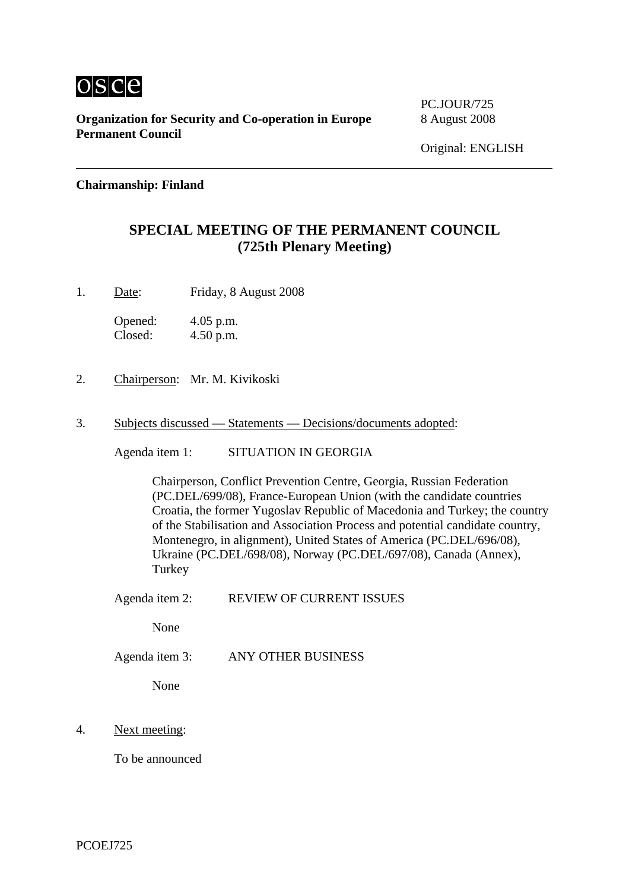

**Organization for Security and Co-operation in Europe** 8 August 2008 **Permanent Council** 

PC.JOUR/725

## **Chairmanship: Finland**

## **SPECIAL MEETING OF THE PERMANENT COUNCIL (725th Plenary Meeting)**

1. Date: Friday, 8 August 2008

Opened: 4.05 p.m. Closed: 4.50 p.m.

- 2. Chairperson: Mr. M. Kivikoski
- 3. Subjects discussed Statements Decisions/documents adopted:

Agenda item 1: SITUATION IN GEORGIA

Chairperson, Conflict Prevention Centre, Georgia, Russian Federation (PC.DEL/699/08), France-European Union (with the candidate countries Croatia, the former Yugoslav Republic of Macedonia and Turkey; the country of the Stabilisation and Association Process and potential candidate country, Montenegro, in alignment), United States of America (PC.DEL/696/08), Ukraine (PC.DEL/698/08), Norway (PC.DEL/697/08), Canada (Annex), Turkey

Agenda item 2: REVIEW OF CURRENT ISSUES

None

Agenda item 3: ANY OTHER BUSINESS

None

4. Next meeting:

To be announced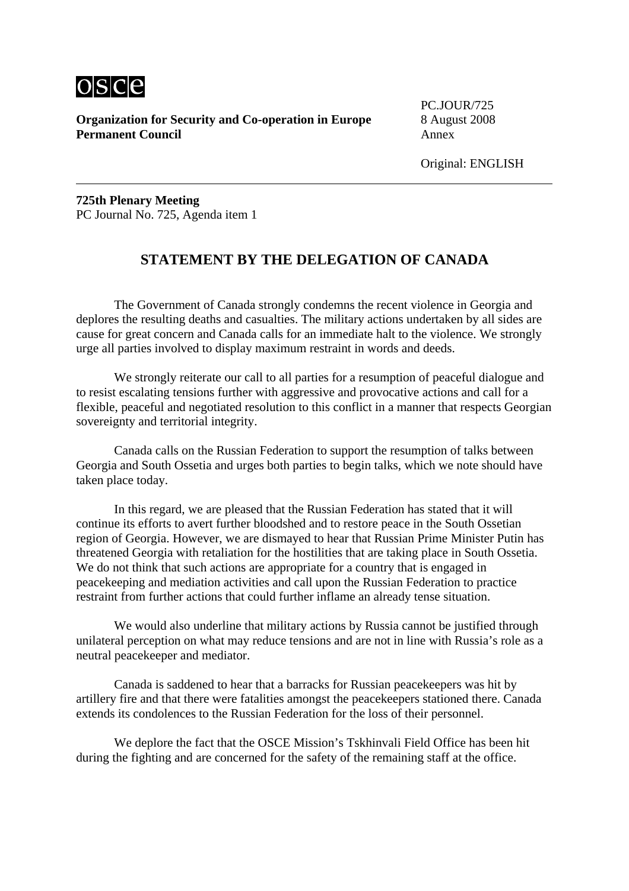

**Organization for Security and Co-operation in Europe** 8 August 2008 **Permanent Council Annex** 

PC.JOUR/725

**725th Plenary Meeting**  PC Journal No. 725, Agenda item 1

## **STATEMENT BY THE DELEGATION OF CANADA**

 The Government of Canada strongly condemns the recent violence in Georgia and deplores the resulting deaths and casualties. The military actions undertaken by all sides are cause for great concern and Canada calls for an immediate halt to the violence. We strongly urge all parties involved to display maximum restraint in words and deeds.

We strongly reiterate our call to all parties for a resumption of peaceful dialogue and to resist escalating tensions further with aggressive and provocative actions and call for a flexible, peaceful and negotiated resolution to this conflict in a manner that respects Georgian sovereignty and territorial integrity.

 Canada calls on the Russian Federation to support the resumption of talks between Georgia and South Ossetia and urges both parties to begin talks, which we note should have taken place today.

 In this regard, we are pleased that the Russian Federation has stated that it will continue its efforts to avert further bloodshed and to restore peace in the South Ossetian region of Georgia. However, we are dismayed to hear that Russian Prime Minister Putin has threatened Georgia with retaliation for the hostilities that are taking place in South Ossetia. We do not think that such actions are appropriate for a country that is engaged in peacekeeping and mediation activities and call upon the Russian Federation to practice restraint from further actions that could further inflame an already tense situation.

 We would also underline that military actions by Russia cannot be justified through unilateral perception on what may reduce tensions and are not in line with Russia's role as a neutral peacekeeper and mediator.

 Canada is saddened to hear that a barracks for Russian peacekeepers was hit by artillery fire and that there were fatalities amongst the peacekeepers stationed there. Canada extends its condolences to the Russian Federation for the loss of their personnel.

 We deplore the fact that the OSCE Mission's Tskhinvali Field Office has been hit during the fighting and are concerned for the safety of the remaining staff at the office.